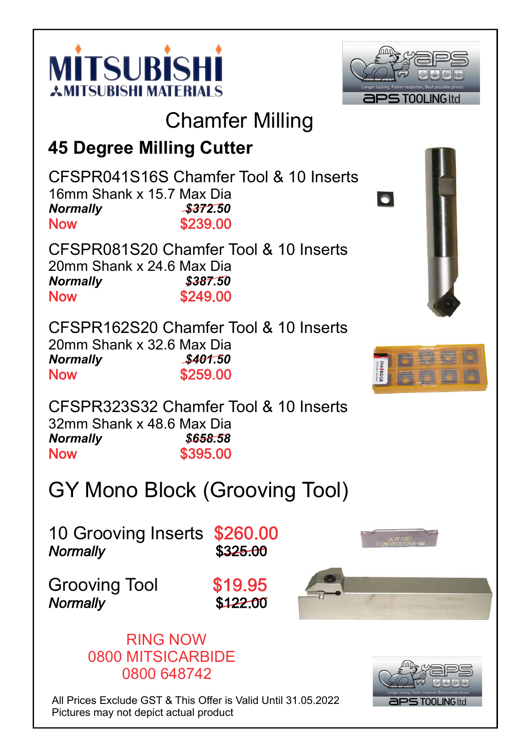



## Chamfer Milling

#### 45 Degree Milling Cutter

CFSPR041S16S Chamfer Tool & 10 Inserts 16mm Shank x 15.7 Max Dia Normally \$372.50 \$239.00 **Now** 

CFSPR081S20 Chamfer Tool & 10 Inserts 20mm Shank x 24.6 Max Dia Normally \$387.50 \$249.00 **Now** 

CFSPR162S20 Chamfer Tool & 10 Inserts 20mm Shank x 32.6 Max Dia Normally \$401.50 **Now** \$259.00





CFSPR323S32 Chamfer Tool & 10 Inserts 32mm Shank x 48.6 Max Dia Normally \$658.58 **Now** \$395.00

## GY Mono Block (Grooving Tool)

10 Grooving Inserts \$260.00 **Normally**  $$325.00$ 

Grooving Tool \$19.95 **Normally** 

 $$12200$ 





All Prices Exclude GST & This Offer is Valid Until 31.05.2022 Pictures may not depict actual product